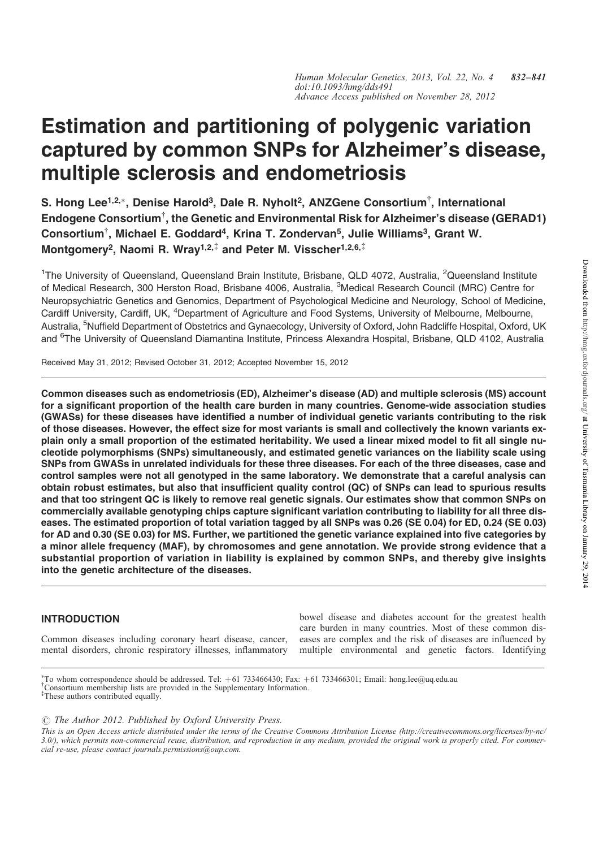# Estimation and partitioning of polygenic variation captured by common SNPs for Alzheimer's disease, multiple sclerosis and endometriosis

S. Hong Lee<sup>1,2,∗</sup>, Denise Harold<sup>3</sup>, Dale R. Nyholt<sup>2</sup>, ANZGene Consortium<sup>†</sup>, International Endogene Consortium<sup>†</sup>, the Genetic and Environmental Risk for Alzheimer's disease (GERAD1) Consortium<sup>†</sup>, Michael E. Goddard<sup>4</sup>, Krina T. Zondervan<sup>5</sup>, Julie Williams<sup>3</sup>, Grant W. Montgomery<sup>2</sup>, Naomi R. Wray<sup>1,2,‡</sup> and Peter M. Visscher<sup>1,2,6,‡</sup>

<sup>1</sup>The University of Queensland, Queensland Brain Institute, Brisbane, QLD 4072, Australia, <sup>2</sup>Queensland Institute of Medical Research, 300 Herston Road, Brisbane 4006, Australia, <sup>3</sup>Medical Research Council (MRC) Centre for Neuropsychiatric Genetics and Genomics, Department of Psychological Medicine and Neurology, School of Medicine, Cardiff University, Cardiff, UK, <sup>4</sup>Department of Agriculture and Food Systems, University of Melbourne, Melbourne, Australia, <sup>5</sup>Nuffield Department of Obstetrics and Gynaecology, University of Oxford, John Radcliffe Hospital, Oxford, UK and <sup>6</sup>The University of Queensland Diamantina Institute, Princess Alexandra Hospital, Brisbane, QLD 4102, Australia

Received May 31, 2012; Revised October 31, 2012; Accepted November 15, 2012

Common diseases such as endometriosis (ED), Alzheimer's disease (AD) and multiple sclerosis (MS) account for a significant proportion of the health care burden in many countries. Genome-wide association studies (GWASs) for these diseases have identified a number of individual genetic variants contributing to the risk of those diseases. However, the effect size for most variants is small and collectively the known variants explain only a small proportion of the estimated heritability. We used a linear mixed model to fit all single nucleotide polymorphisms (SNPs) simultaneously, and estimated genetic variances on the liability scale using SNPs from GWASs in unrelated individuals for these three diseases. For each of the three diseases, case and control samples were not all genotyped in the same laboratory. We demonstrate that a careful analysis can obtain robust estimates, but also that insufficient quality control (QC) of SNPs can lead to spurious results and that too stringent QC is likely to remove real genetic signals. Our estimates show that common SNPs on commercially available genotyping chips capture significant variation contributing to liability for all three diseases. The estimated proportion of total variation tagged by all SNPs was 0.26 (SE 0.04) for ED, 0.24 (SE 0.03) for AD and 0.30 (SE 0.03) for MS. Further, we partitioned the genetic variance explained into five categories by a minor allele frequency (MAF), by chromosomes and gene annotation. We provide strong evidence that a substantial proportion of variation in liability is explained by common SNPs, and thereby give insights into the genetic architecture of the diseases.

# INTRODUCTION

Common diseases including coronary heart disease, cancer, mental disorders, chronic respiratory illnesses, inflammatory

bowel disease and diabetes account for the greatest health care burden in many countries. Most of these common diseases are complex and the risk of diseases are influenced by multiple environmental and genetic factors. Identifying

∗ To whom correspondence should be addressed. Tel: +61 733466430; Fax: +61 733466301; Email: hong.lee@uq.edu.au †Consortium membership lists are provided in the Supplementary Information. <sup>‡</sup>These authors contributed equally.

 $\odot$  The Author 2012. Published by Oxford University Press.

This is an Open Access article distributed under the terms of the Creative Commons Attribution License (http://creativecommons.org/licenses/by-nc/ 3.0/), which permits non-commercial reuse, distribution, and reproduction in any medium, provided the original work is properly cited. For commercial re-use, please contact journals.permissions@oup.com.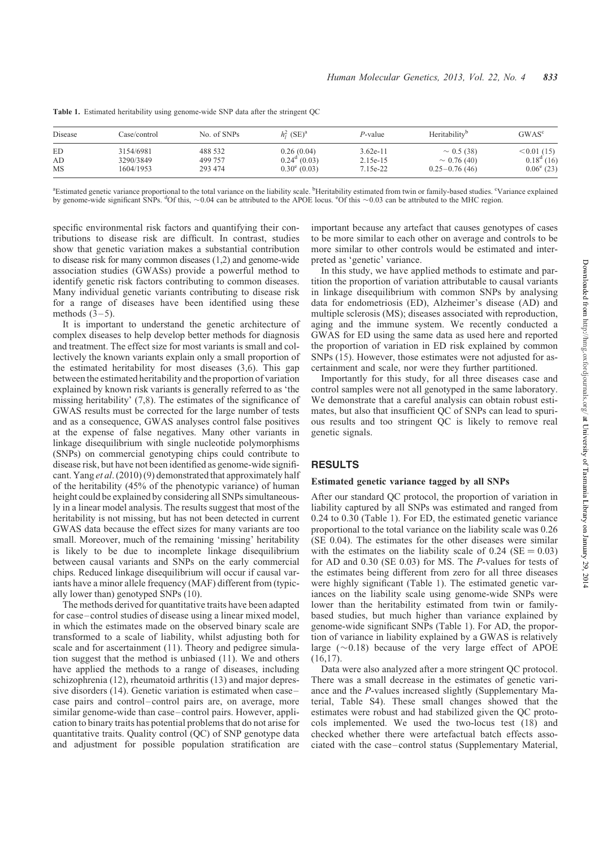| Disease  | Case/control           | No. of SNPs        | $h_i^2$ (SE) <sup>a</sup>                | P-value                  | Heritability <sup>b</sup>         | $GWAS^c$                          |
|----------|------------------------|--------------------|------------------------------------------|--------------------------|-----------------------------------|-----------------------------------|
| ED<br>AD | 3154/6981<br>3290/3849 | 488 532<br>499 757 | 0.26(0.04)<br>$0.24^{\mathrm{d}}$ (0.03) | $3.62e-11$<br>$2.15e-15$ | $\sim 0.5(38)$<br>$\sim 0.76(40)$ | < 0.01(15)<br>$0.18^{\rm d}$ (16) |
| MS       | 1604/1953              | 293 474            | $0.30^{\circ}$ (0.03)                    | 7.15e-22                 | $0.25 - 0.76(46)$                 | $0.06^{\circ}$ (23)               |

Table 1. Estimated heritability using genome-wide SNP data after the stringent QC

<sup>a</sup> Estimated genetic variance proportional to the total variance on the liability scale. <sup>b</sup>Heritability estimated from twin or family-based studies. <sup>c</sup>Variance explained by genome-wide significant SNPs. <sup>d</sup>Of this,  $\sim 0.04$  can be attributed to the APOE locus. <sup>e</sup>Of this  $\sim 0.03$  can be attributed to the MHC region.

specific environmental risk factors and quantifying their contributions to disease risk are difficult. In contrast, studies show that genetic variation makes a substantial contribution to disease risk for many common diseases (1,2) and genome-wide association studies (GWASs) provide a powerful method to identify genetic risk factors contributing to common diseases. Many individual genetic variants contributing to disease risk for a range of diseases have been identified using these methods  $(3-5)$ .

It is important to understand the genetic architecture of complex diseases to help develop better methods for diagnosis and treatment. The effect size for most variants is small and collectively the known variants explain only a small proportion of the estimated heritability for most diseases (3,6). This gap between the estimated heritability and the proportion of variation explained by known risk variants is generally referred to as 'the missing heritability' (7,8). The estimates of the significance of GWAS results must be corrected for the large number of tests and as a consequence, GWAS analyses control false positives at the expense of false negatives. Many other variants in linkage disequilibrium with single nucleotide polymorphisms (SNPs) on commercial genotyping chips could contribute to disease risk, but have not been identified as genome-wide significant. Yang et al. (2010) (9) demonstrated that approximately half of the heritability (45% of the phenotypic variance) of human height could be explained by considering all SNPs simultaneously in a linear model analysis. The results suggest that most of the heritability is not missing, but has not been detected in current GWAS data because the effect sizes for many variants are too small. Moreover, much of the remaining 'missing' heritability is likely to be due to incomplete linkage disequilibrium between causal variants and SNPs on the early commercial chips. Reduced linkage disequilibrium will occur if causal variants have a minor allele frequency (MAF) different from (typically lower than) genotyped SNPs (10).

The methods derived for quantitative traits have been adapted for case –control studies of disease using a linear mixed model, in which the estimates made on the observed binary scale are transformed to a scale of liability, whilst adjusting both for scale and for ascertainment (11). Theory and pedigree simulation suggest that the method is unbiased (11). We and others have applied the methods to a range of diseases, including schizophrenia (12), rheumatoid arthritis (13) and major depressive disorders (14). Genetic variation is estimated when case – case pairs and control –control pairs are, on average, more similar genome-wide than case-control pairs. However, application to binary traits has potential problems that do not arise for quantitative traits. Quality control (QC) of SNP genotype data and adjustment for possible population stratification are

important because any artefact that causes genotypes of cases to be more similar to each other on average and controls to be more similar to other controls would be estimated and interpreted as 'genetic' variance.

In this study, we have applied methods to estimate and partition the proportion of variation attributable to causal variants in linkage disequilibrium with common SNPs by analysing data for endometriosis (ED), Alzheimer's disease (AD) and multiple sclerosis (MS); diseases associated with reproduction, aging and the immune system. We recently conducted a GWAS for ED using the same data as used here and reported the proportion of variation in ED risk explained by common  $SNPs(15)$ . However, those estimates were not adjusted for ascertainment and scale, nor were they further partitioned.

Importantly for this study, for all three diseases case and control samples were not all genotyped in the same laboratory. We demonstrate that a careful analysis can obtain robust estimates, but also that insufficient QC of SNPs can lead to spurious results and too stringent QC is likely to remove real genetic signals.

# RESULTS

## Estimated genetic variance tagged by all SNPs

After our standard QC protocol, the proportion of variation in liability captured by all SNPs was estimated and ranged from 0.24 to 0.30 (Table 1). For ED, the estimated genetic variance proportional to the total variance on the liability scale was 0.26 (SE 0.04). The estimates for the other diseases were similar with the estimates on the liability scale of  $0.24$  (SE = 0.03) for AD and 0.30 (SE 0.03) for MS. The P-values for tests of the estimates being different from zero for all three diseases were highly significant (Table 1). The estimated genetic variances on the liability scale using genome-wide SNPs were lower than the heritability estimated from twin or familybased studies, but much higher than variance explained by genome-wide significant SNPs (Table 1). For AD, the proportion of variance in liability explained by a GWAS is relatively large  $(\sim 0.18)$  because of the very large effect of APOE (16,17).

Data were also analyzed after a more stringent QC protocol. There was a small decrease in the estimates of genetic variance and the P-values increased slightly (Supplementary Material, Table S4). These small changes showed that the estimates were robust and had stabilized given the QC protocols implemented. We used the two-locus test (18) and checked whether there were artefactual batch effects associated with the case –control status (Supplementary Material,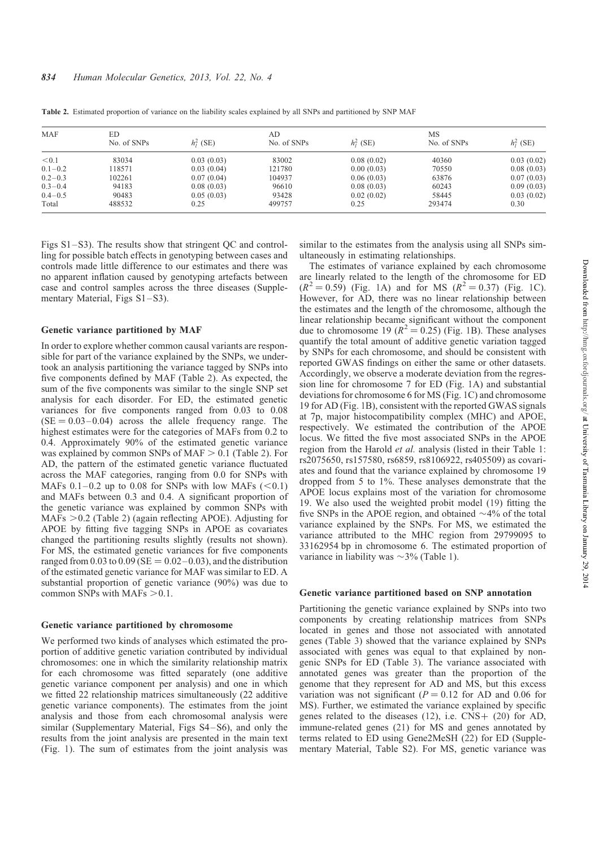| <b>MAF</b>  | ED<br>No. of SNPs | $h_i^2$ (SE) | AD<br>No. of SNPs | $h_l^2$ (SE) | MS<br>No. of SNPs | $h_l^2$ (SE) |
|-------------|-------------------|--------------|-------------------|--------------|-------------------|--------------|
|             |                   |              |                   |              |                   |              |
| < 0.1       | 83034             | 0.03(0.03)   | 83002             | 0.08(0.02)   | 40360             | 0.03(0.02)   |
| $0.1 - 0.2$ | 118571            | 0.03(0.04)   | 121780            | 0.00(0.03)   | 70550             | 0.08(0.03)   |
| $0.2 - 0.3$ | 102261            | 0.07(0.04)   | 104937            | 0.06(0.03)   | 63876             | 0.07(0.03)   |
| $0.3 - 0.4$ | 94183             | 0.08(0.03)   | 96610             | 0.08(0.03)   | 60243             | 0.09(0.03)   |
| $0.4 - 0.5$ | 90483             | 0.05(0.03)   | 93428             | 0.02(0.02)   | 58445             | 0.03(0.02)   |
| Total       | 488532            | 0.25         | 499757            | 0.25         | 293474            | 0.30         |

Table 2. Estimated proportion of variance on the liability scales explained by all SNPs and partitioned by SNP MAF

Figs  $S1-S3$ ). The results show that stringent QC and controlling for possible batch effects in genotyping between cases and controls made little difference to our estimates and there was no apparent inflation caused by genotyping artefacts between case and control samples across the three diseases (Supplementary Material, Figs S1-S3).

## Genetic variance partitioned by MAF

In order to explore whether common causal variants are responsible for part of the variance explained by the SNPs, we undertook an analysis partitioning the variance tagged by SNPs into five components defined by MAF (Table 2). As expected, the sum of the five components was similar to the single SNP set analysis for each disorder. For ED, the estimated genetic variances for five components ranged from 0.03 to 0.08  $(SE = 0.03 - 0.04)$  across the allele frequency range. The highest estimates were for the categories of MAFs from 0.2 to 0.4. Approximately 90% of the estimated genetic variance was explained by common SNPs of MAF  $> 0.1$  (Table 2). For AD, the pattern of the estimated genetic variance fluctuated across the MAF categories, ranging from 0.0 for SNPs with MAFs  $0.1 - 0.2$  up to 0.08 for SNPs with low MAFs (<0.1) and MAFs between 0.3 and 0.4. A significant proportion of the genetic variance was explained by common SNPs with MAFs  $> 0.2$  (Table 2) (again reflecting APOE). Adjusting for APOE by fitting five tagging SNPs in APOE as covariates changed the partitioning results slightly (results not shown). For MS, the estimated genetic variances for five components ranged from 0.03 to 0.09 (SE  $= 0.02-0.03$ ), and the distribution of the estimated genetic variance for MAF was similar to ED. A substantial proportion of genetic variance (90%) was due to common SNPs with MAFs  $> 0.1$ .

#### Genetic variance partitioned by chromosome

We performed two kinds of analyses which estimated the proportion of additive genetic variation contributed by individual chromosomes: one in which the similarity relationship matrix for each chromosome was fitted separately (one additive genetic variance component per analysis) and one in which we fitted 22 relationship matrices simultaneously (22 additive genetic variance components). The estimates from the joint analysis and those from each chromosomal analysis were similar (Supplementary Material, Figs S4–S6), and only the results from the joint analysis are presented in the main text (Fig. 1). The sum of estimates from the joint analysis was

similar to the estimates from the analysis using all SNPs simultaneously in estimating relationships.

The estimates of variance explained by each chromosome are linearly related to the length of the chromosome for ED  $(R^2 = 0.59)$  (Fig. 1A) and for MS  $(R^2 = 0.37)$  (Fig. 1C). However, for AD, there was no linear relationship between the estimates and the length of the chromosome, although the linear relationship became significant without the component due to chromosome 19 ( $R^2 = 0.25$ ) (Fig. 1B). These analyses quantify the total amount of additive genetic variation tagged by SNPs for each chromosome, and should be consistent with reported GWAS findings on either the same or other datasets. Accordingly, we observe a moderate deviation from the regression line for chromosome 7 for ED (Fig. 1A) and substantial deviations for chromosome 6 for MS (Fig. 1C) and chromosome 19 for AD (Fig. 1B), consistent with the reported GWAS signals at 7p, major histocompatibility complex (MHC) and APOE, respectively. We estimated the contribution of the APOE locus. We fitted the five most associated SNPs in the APOE region from the Harold *et al.* analysis (listed in their Table 1: rs2075650, rs157580, rs6859, rs8106922, rs405509) as covariates and found that the variance explained by chromosome 19 dropped from 5 to 1%. These analyses demonstrate that the APOE locus explains most of the variation for chromosome 19. We also used the weighted probit model (19) fitting the five SNPs in the APOE region, and obtained  $\sim$ 4% of the total variance explained by the SNPs. For MS, we estimated the variance attributed to the MHC region from 29799095 to 33162954 bp in chromosome 6. The estimated proportion of variance in liability was  $\sim$ 3% (Table 1).

## Genetic variance partitioned based on SNP annotation

Partitioning the genetic variance explained by SNPs into two components by creating relationship matrices from SNPs located in genes and those not associated with annotated genes (Table 3) showed that the variance explained by SNPs associated with genes was equal to that explained by nongenic SNPs for ED (Table 3). The variance associated with annotated genes was greater than the proportion of the genome that they represent for AD and MS, but this excess variation was not significant ( $P = 0.12$  for AD and 0.06 for MS). Further, we estimated the variance explained by specific genes related to the diseases (12), i.e. CNS+ (20) for AD, immune-related genes (21) for MS and genes annotated by terms related to ED using Gene2MeSH (22) for ED (Supplementary Material, Table S2). For MS, genetic variance was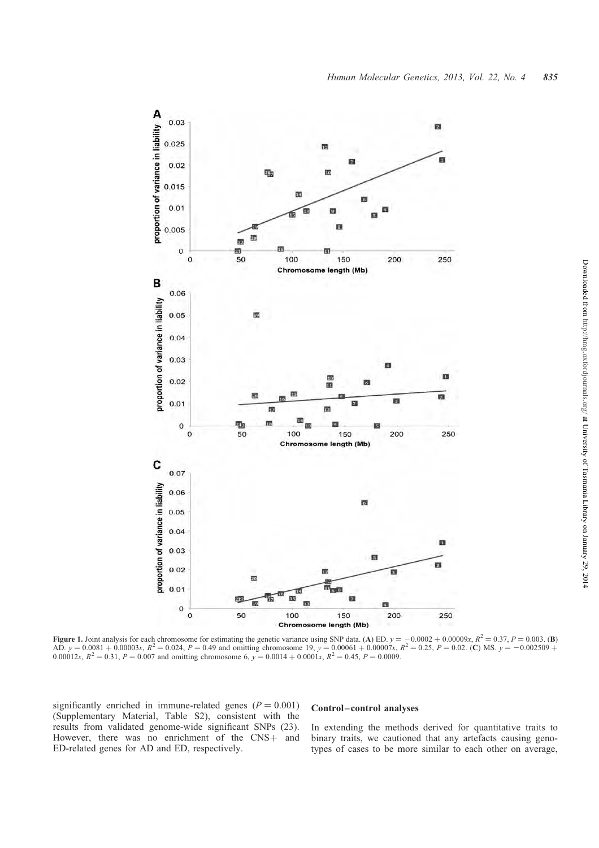

Figure 1. Joint analysis for each chromosome for estimating the genetic variance using SNP data. (A) ED.  $y = -0.0002 + 0.00009x$ ,  $R^2 = 0.37$ ,  $P = 0.003$ . (B)  $\Delta \vec{D}$ ,  $y = 0.0081 + 0.00003x$ ,  $R^2 = 0.024$ ,  $P = 0.49$  and omitting chromosome 19,  $y = 0.00061 + 0.00007x$ ,  $R^2 = 0.25$ ,  $P = 0.02$ . (C) MS.  $y = -0.002509 + 0.00007x$ 0.00012x,  $R^2 = 0.31$ ,  $P = 0.007$  and omitting chromosome 6,  $y = 0.0014 + 0.0001x$ ,  $R^2 = 0.45$ ,  $P = 0.0009$ .

significantly enriched in immune-related genes ( $P = 0.001$ ) (Supplementary Material, Table S2), consistent with the results from validated genome-wide significant SNPs (23). However, there was no enrichment of the CNS+ and ED-related genes for AD and ED, respectively.

## Control –control analyses

In extending the methods derived for quantitative traits to binary traits, we cautioned that any artefacts causing genotypes of cases to be more similar to each other on average,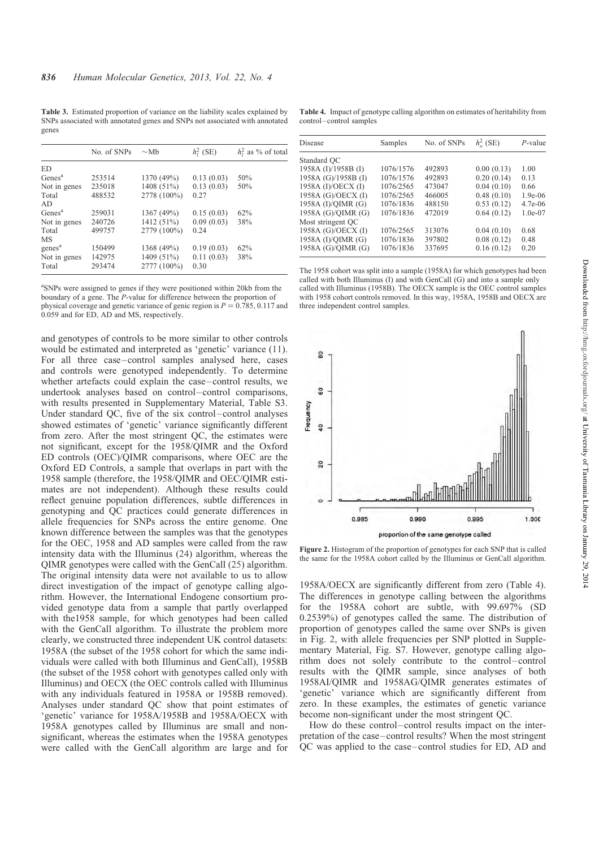|                    | No. of SNPs | $\sim$ Mh   | $h_l^2$ (SE) | $h12$ as % of total |
|--------------------|-------------|-------------|--------------|---------------------|
| ED                 |             |             |              |                     |
| Genes <sup>a</sup> | 253514      | 1370 (49%)  | 0.13(0.03)   | 50%                 |
| Not in genes       | 235018      | 1408 (51%)  | 0.13(0.03)   | 50%                 |
| Total              | 488532      | 2778 (100%) | 0.27         |                     |
| AD                 |             |             |              |                     |
| Genes <sup>a</sup> | 259031      | 1367 (49%)  | 0.15(0.03)   | 62%                 |
| Not in genes       | 240726      | 1412 (51%)  | 0.09(0.03)   | 38%                 |
| Total              | 499757      | 2779 (100%) | 0.24         |                     |
| MS                 |             |             |              |                     |
| genes <sup>a</sup> | 150499      | 1368 (49%)  | 0.19(0.03)   | 62%                 |
| Not in genes       | 142975      | 1409 (51%)  | 0.11(0.03)   | 38%                 |
| Total              | 293474      | 2777 (100%) | 0.30         |                     |

Table 3. Estimated proportion of variance on the liability scales explained by SNPs associated with annotated genes and SNPs not associated with annotated genes

<sup>a</sup>SNPs were assigned to genes if they were positioned within 20kb from the boundary of a gene. The P-value for difference between the proportion of physical coverage and genetic variance of genic region is  $P = 0.785, 0.117$  and 0.059 and for ED, AD and MS, respectively.

and genotypes of controls to be more similar to other controls would be estimated and interpreted as 'genetic' variance (11). For all three case-control samples analysed here, cases and controls were genotyped independently. To determine whether artefacts could explain the case-control results, we undertook analyses based on control–control comparisons, with results presented in Supplementary Material, Table S3. Under standard QC, five of the six control–control analyses showed estimates of 'genetic' variance significantly different from zero. After the most stringent QC, the estimates were not significant, except for the 1958/QIMR and the Oxford ED controls (OEC)/QIMR comparisons, where OEC are the Oxford ED Controls, a sample that overlaps in part with the 1958 sample (therefore, the 1958/QIMR and OEC/QIMR estimates are not independent). Although these results could reflect genuine population differences, subtle differences in genotyping and QC practices could generate differences in allele frequencies for SNPs across the entire genome. One known difference between the samples was that the genotypes for the OEC, 1958 and AD samples were called from the raw intensity data with the Illuminus (24) algorithm, whereas the QIMR genotypes were called with the GenCall (25) algorithm. The original intensity data were not available to us to allow direct investigation of the impact of genotype calling algorithm. However, the International Endogene consortium provided genotype data from a sample that partly overlapped with the1958 sample, for which genotypes had been called with the GenCall algorithm. To illustrate the problem more clearly, we constructed three independent UK control datasets: 1958A (the subset of the 1958 cohort for which the same individuals were called with both Illuminus and GenCall), 1958B (the subset of the 1958 cohort with genotypes called only with Illuminus) and OECX (the OEC controls called with Illuminus with any individuals featured in 1958A or 1958B removed). Analyses under standard QC show that point estimates of 'genetic' variance for 1958A/1958B and 1958A/OECX with 1958A genotypes called by Illuminus are small and nonsignificant, whereas the estimates when the 1958A genotypes were called with the GenCall algorithm are large and for

Table 4. Impact of genotype calling algorithm on estimates of heritability from control–control samples

| Disease              | Samples   | No. of SNPs | $h^2$ (SE) | $P$ -value |
|----------------------|-----------|-------------|------------|------------|
| Standard OC          |           |             |            |            |
| 1958A (I)/1958B (I)  | 1076/1576 | 492893      | 0.00(0.13) | 1.00       |
| 1958A (G)/1958B (I)  | 1076/1576 | 492893      | 0.20(0.14) | 0.13       |
| 1958A (I)/OECX (I)   | 1076/2565 | 473047      | 0.04(0.10) | 0.66       |
| 1958A (G)/OECX (I)   | 1076/2565 | 466005      | 0.48(0.10) | $1.9e-06$  |
| 1958A (I)/QIMR (G)   | 1076/1836 | 488150      | 0.53(0.12) | 4.7e-06    |
| 1958A (G)/OIMR (G)   | 1076/1836 | 472019      | 0.64(0.12) | $1.0e-07$  |
| Most stringent OC    |           |             |            |            |
| 1958A (G)/OECX (I)   | 1076/2565 | 313076      | 0.04(0.10) | 0.68       |
| 1958A (I)/OIMR $(G)$ | 1076/1836 | 397802      | 0.08(0.12) | 0.48       |
| 1958A (G)/OIMR (G)   | 1076/1836 | 337695      | 0.16(0.12) | 0.20       |

The 1958 cohort was split into a sample (1958A) for which genotypes had been called with both Illuminus (I) and with GenCall (G) and into a sample only called with Illuminus (1958B). The OECX sample is the OEC control samples with 1958 cohort controls removed. In this way, 1958A, 1958B and OECX are three independent control samples.



Figure 2. Histogram of the proportion of genotypes for each SNP that is called the same for the 1958A cohort called by the Illuminus or GenCall algorithm.

1958A/OECX are significantly different from zero (Table 4). The differences in genotype calling between the algorithms for the 1958A cohort are subtle, with 99.697% (SD 0.2539%) of genotypes called the same. The distribution of proportion of genotypes called the same over SNPs is given in Fig. 2, with allele frequencies per SNP plotted in Supplementary Material, Fig. S7. However, genotype calling algorithm does not solely contribute to the control –control results with the QIMR sample, since analyses of both 1958AI/QIMR and 1958AG/QIMR generates estimates of 'genetic' variance which are significantly different from zero. In these examples, the estimates of genetic variance become non-significant under the most stringent QC.

How do these control–control results impact on the interpretation of the case –control results? When the most stringent QC was applied to the case–control studies for ED, AD and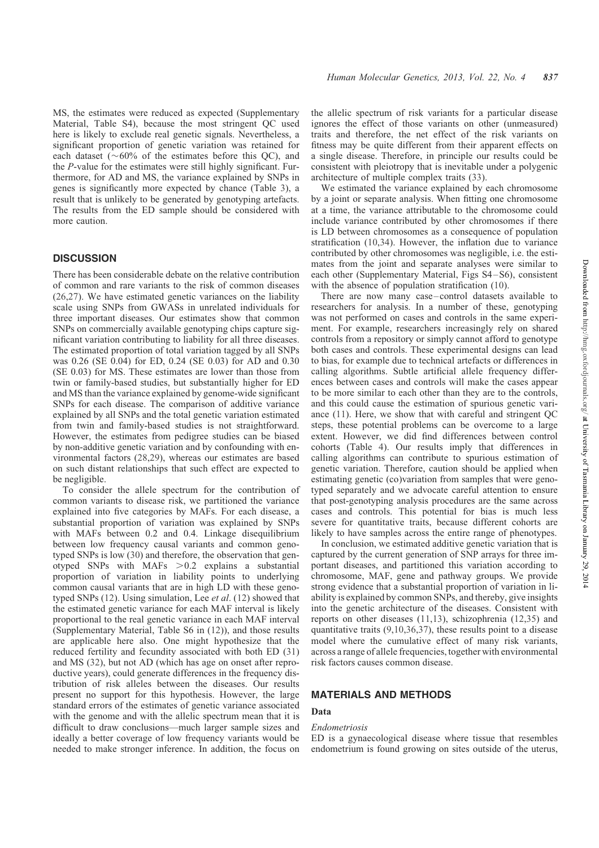MS, the estimates were reduced as expected (Supplementary Material, Table S4), because the most stringent QC used here is likely to exclude real genetic signals. Nevertheless, a significant proportion of genetic variation was retained for each dataset ( $\sim 60\%$  of the estimates before this OC), and the P-value for the estimates were still highly significant. Furthermore, for AD and MS, the variance explained by SNPs in genes is significantly more expected by chance (Table 3), a result that is unlikely to be generated by genotyping artefacts. The results from the ED sample should be considered with more caution.

# **DISCUSSION**

There has been considerable debate on the relative contribution of common and rare variants to the risk of common diseases (26,27). We have estimated genetic variances on the liability scale using SNPs from GWASs in unrelated individuals for three important diseases. Our estimates show that common SNPs on commercially available genotyping chips capture significant variation contributing to liability for all three diseases. The estimated proportion of total variation tagged by all SNPs was 0.26 (SE 0.04) for ED, 0.24 (SE 0.03) for AD and 0.30 (SE 0.03) for MS. These estimates are lower than those from twin or family-based studies, but substantially higher for ED and MS than the variance explained by genome-wide significant SNPs for each disease. The comparison of additive variance explained by all SNPs and the total genetic variation estimated from twin and family-based studies is not straightforward. However, the estimates from pedigree studies can be biased by non-additive genetic variation and by confounding with environmental factors (28,29), whereas our estimates are based on such distant relationships that such effect are expected to be negligible.

To consider the allele spectrum for the contribution of common variants to disease risk, we partitioned the variance explained into five categories by MAFs. For each disease, a substantial proportion of variation was explained by SNPs with MAFs between 0.2 and 0.4. Linkage disequilibrium between low frequency causal variants and common genotyped SNPs is low (30) and therefore, the observation that genotyped SNPs with MAFs  $> 0.2$  explains a substantial proportion of variation in liability points to underlying common causal variants that are in high LD with these genotyped SNPs (12). Using simulation, Lee *et al.* (12) showed that the estimated genetic variance for each MAF interval is likely proportional to the real genetic variance in each MAF interval (Supplementary Material, Table S6 in (12)), and those results are applicable here also. One might hypothesize that the reduced fertility and fecundity associated with both ED (31) and MS (32), but not AD (which has age on onset after reproductive years), could generate differences in the frequency distribution of risk alleles between the diseases. Our results present no support for this hypothesis. However, the large standard errors of the estimates of genetic variance associated with the genome and with the allelic spectrum mean that it is difficult to draw conclusions—much larger sample sizes and ideally a better coverage of low frequency variants would be needed to make stronger inference. In addition, the focus on

the allelic spectrum of risk variants for a particular disease ignores the effect of those variants on other (unmeasured) traits and therefore, the net effect of the risk variants on fitness may be quite different from their apparent effects on a single disease. Therefore, in principle our results could be consistent with pleiotropy that is inevitable under a polygenic architecture of multiple complex traits (33).

We estimated the variance explained by each chromosome by a joint or separate analysis. When fitting one chromosome at a time, the variance attributable to the chromosome could include variance contributed by other chromosomes if there is LD between chromosomes as a consequence of population stratification (10,34). However, the inflation due to variance contributed by other chromosomes was negligible, i.e. the estimates from the joint and separate analyses were similar to each other (Supplementary Material, Figs S4-S6), consistent with the absence of population stratification (10).

There are now many case-control datasets available to researchers for analysis. In a number of these, genotyping was not performed on cases and controls in the same experiment. For example, researchers increasingly rely on shared controls from a repository or simply cannot afford to genotype both cases and controls. These experimental designs can lead to bias, for example due to technical artefacts or differences in calling algorithms. Subtle artificial allele frequency differences between cases and controls will make the cases appear to be more similar to each other than they are to the controls, and this could cause the estimation of spurious genetic variance (11). Here, we show that with careful and stringent QC steps, these potential problems can be overcome to a large extent. However, we did find differences between control cohorts (Table 4). Our results imply that differences in calling algorithms can contribute to spurious estimation of genetic variation. Therefore, caution should be applied when estimating genetic (co)variation from samples that were genotyped separately and we advocate careful attention to ensure that post-genotyping analysis procedures are the same across cases and controls. This potential for bias is much less severe for quantitative traits, because different cohorts are likely to have samples across the entire range of phenotypes.

In conclusion, we estimated additive genetic variation that is captured by the current generation of SNP arrays for three important diseases, and partitioned this variation according to chromosome, MAF, gene and pathway groups. We provide strong evidence that a substantial proportion of variation in liability is explained by common SNPs, and thereby, give insights into the genetic architecture of the diseases. Consistent with reports on other diseases (11,13), schizophrenia (12,35) and quantitative traits (9,10,36,37), these results point to a disease model where the cumulative effect of many risk variants, across a range of allele frequencies, together with environmental risk factors causes common disease.

## MATERIALS AND METHODS

# Data

## Endometriosis

ED is a gynaecological disease where tissue that resembles endometrium is found growing on sites outside of the uterus,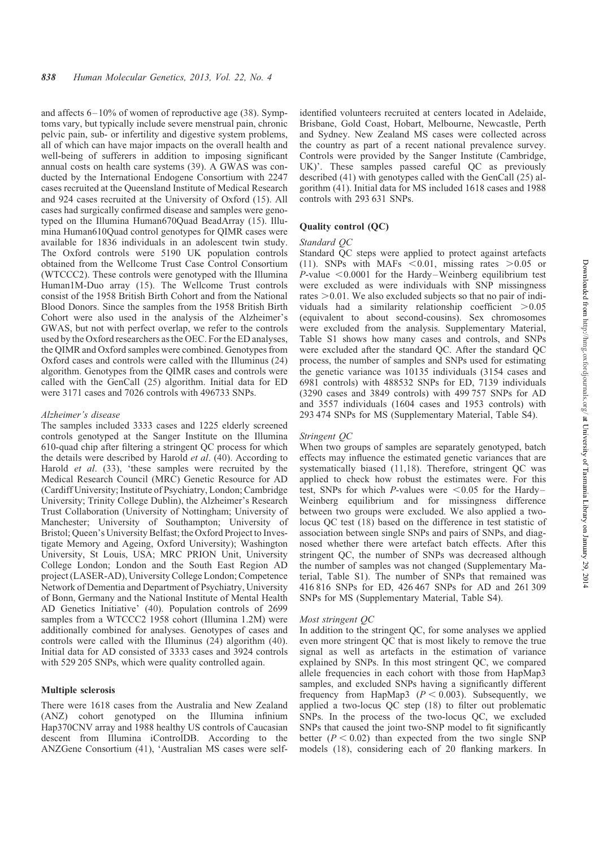and affects  $6 - 10\%$  of women of reproductive age (38). Symptoms vary, but typically include severe menstrual pain, chronic pelvic pain, sub- or infertility and digestive system problems, all of which can have major impacts on the overall health and well-being of sufferers in addition to imposing significant annual costs on health care systems (39). A GWAS was conducted by the International Endogene Consortium with 2247 cases recruited at the Queensland Institute of Medical Research and 924 cases recruited at the University of Oxford (15). All cases had surgically confirmed disease and samples were genotyped on the Illumina Human670Quad BeadArray (15). Illumina Human610Quad control genotypes for QIMR cases were available for 1836 individuals in an adolescent twin study. The Oxford controls were 5190 UK population controls obtained from the Wellcome Trust Case Control Consortium (WTCCC2). These controls were genotyped with the Illumina Human1M-Duo array (15). The Wellcome Trust controls consist of the 1958 British Birth Cohort and from the National Blood Donors. Since the samples from the 1958 British Birth Cohort were also used in the analysis of the Alzheimer's GWAS, but not with perfect overlap, we refer to the controls used by the Oxford researchers as the OEC. For the ED analyses, the QIMR and Oxford samples were combined. Genotypes from Oxford cases and controls were called with the Illuminus (24) algorithm. Genotypes from the QIMR cases and controls were called with the GenCall (25) algorithm. Initial data for ED were 3171 cases and 7026 controls with 496733 SNPs.

## Alzheimer's disease

The samples included 3333 cases and 1225 elderly screened controls genotyped at the Sanger Institute on the Illumina 610-quad chip after filtering a stringent QC process for which the details were described by Harold et al. (40). According to Harold et al. (33), 'these samples were recruited by the Medical Research Council (MRC) Genetic Resource for AD (Cardiff University; Institute of Psychiatry, London; Cambridge University; Trinity College Dublin), the Alzheimer's Research Trust Collaboration (University of Nottingham; University of Manchester; University of Southampton; University of Bristol; Queen's University Belfast; the Oxford Project to Investigate Memory and Ageing, Oxford University); Washington University, St Louis, USA; MRC PRION Unit, University College London; London and the South East Region AD project (LASER-AD), University College London; Competence Network of Dementia and Department of Psychiatry, University of Bonn, Germany and the National Institute of Mental Health AD Genetics Initiative' (40). Population controls of 2699 samples from a WTCCC2 1958 cohort (Illumina 1.2M) were additionally combined for analyses. Genotypes of cases and controls were called with the Illuminus (24) algorithm (40). Initial data for AD consisted of 3333 cases and 3924 controls with 529 205 SNPs, which were quality controlled again.

## Multiple sclerosis

There were 1618 cases from the Australia and New Zealand (ANZ) cohort genotyped on the Illumina infinium Hap370CNV array and 1988 healthy US controls of Caucasian descent from Illumina iControlDB. According to the ANZGene Consortium (41), 'Australian MS cases were selfidentified volunteers recruited at centers located in Adelaide, Brisbane, Gold Coast, Hobart, Melbourne, Newcastle, Perth and Sydney. New Zealand MS cases were collected across the country as part of a recent national prevalence survey. Controls were provided by the Sanger Institute (Cambridge, UK)'. These samples passed careful QC as previously described (41) with genotypes called with the GenCall (25) algorithm (41). Initial data for MS included 1618 cases and 1988 controls with 293 631 SNPs.

# Quality control (QC)

## Standard OC

Standard  $\widetilde{Q}C$  steps were applied to protect against artefacts (11). SNPs with MAFs  $\leq 0.01$ , missing rates  $\geq 0.05$  or  $P$ -value <0.0001 for the Hardy–Weinberg equilibrium test were excluded as were individuals with SNP missingness rates  $>0.01$ . We also excluded subjects so that no pair of individuals had a similarity relationship coefficient  $>0.05$ (equivalent to about second-cousins). Sex chromosomes were excluded from the analysis. Supplementary Material, Table S1 shows how many cases and controls, and SNPs were excluded after the standard QC. After the standard QC process, the number of samples and SNPs used for estimating the genetic variance was 10135 individuals (3154 cases and 6981 controls) with 488532 SNPs for ED, 7139 individuals (3290 cases and 3849 controls) with 499 757 SNPs for AD and 3557 individuals (1604 cases and 1953 controls) with 293 474 SNPs for MS (Supplementary Material, Table S4).

## Stringent QC

When two groups of samples are separately genotyped, batch effects may influence the estimated genetic variances that are systematically biased (11,18). Therefore, stringent QC was applied to check how robust the estimates were. For this test, SNPs for which *P*-values were  $\leq 0.05$  for the Hardy– Weinberg equilibrium and for missingness difference between two groups were excluded. We also applied a twolocus QC test (18) based on the difference in test statistic of association between single SNPs and pairs of SNPs, and diagnosed whether there were artefact batch effects. After this stringent QC, the number of SNPs was decreased although the number of samples was not changed (Supplementary Material, Table S1). The number of SNPs that remained was 416 816 SNPs for ED, 426 467 SNPs for AD and 261 309 SNPs for MS (Supplementary Material, Table S4).

## Most stringent QC

In addition to the stringent QC, for some analyses we applied even more stringent QC that is most likely to remove the true signal as well as artefacts in the estimation of variance explained by SNPs. In this most stringent QC, we compared allele frequencies in each cohort with those from HapMap3 samples, and excluded SNPs having a significantly different frequency from HapMap3 ( $P < 0.003$ ). Subsequently, we applied a two-locus QC step (18) to filter out problematic SNPs. In the process of the two-locus QC, we excluded SNPs that caused the joint two-SNP model to fit significantly better  $(P < 0.02)$  than expected from the two single SNP models (18), considering each of 20 flanking markers. In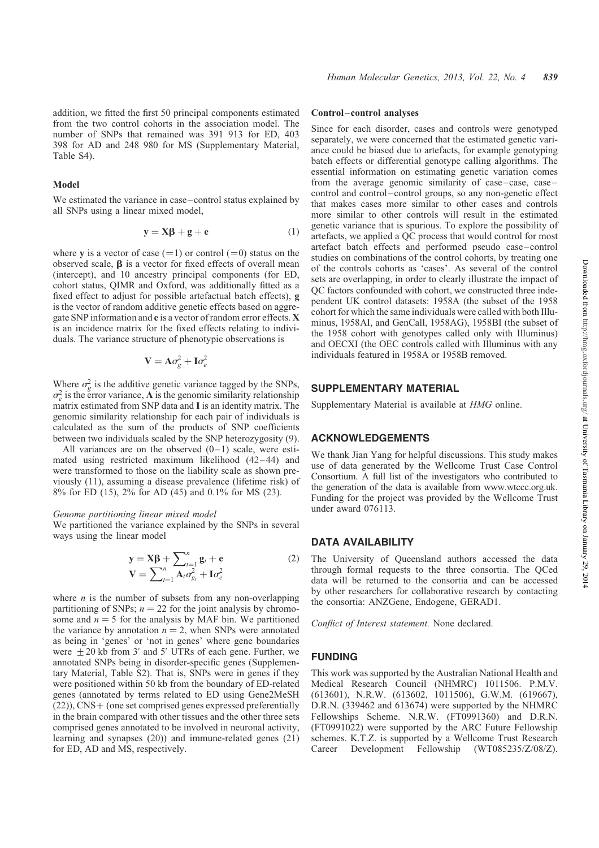addition, we fitted the first 50 principal components estimated from the two control cohorts in the association model. The number of SNPs that remained was 391 913 for ED, 403 398 for AD and 248 980 for MS (Supplementary Material, Table S4).

#### Model

We estimated the variance in case–control status explained by all SNPs using a linear mixed model,

$$
y = X\beta + g + e \tag{1}
$$

where y is a vector of case  $(=1)$  or control  $(=0)$  status on the observed scale,  $\beta$  is a vector for fixed effects of overall mean (intercept), and 10 ancestry principal components (for ED, cohort status, QIMR and Oxford, was additionally fitted as a fixed effect to adjust for possible artefactual batch effects), g is the vector of random additive genetic effects based on aggregate SNP information and e is a vector of random error effects. X is an incidence matrix for the fixed effects relating to individuals. The variance structure of phenotypic observations is

$$
\mathbf{V} = \mathbf{A}\sigma_g^2 + \mathbf{I}\sigma_e^2
$$

Where  $\sigma_g^2$  is the additive genetic variance tagged by the SNPs,  $\sigma_e^2$  is the error variance, **A** is the genomic similarity relationship matrix estimated from SNP data and I is an identity matrix. The genomic similarity relationship for each pair of individuals is calculated as the sum of the products of SNP coefficients between two individuals scaled by the SNP heterozygosity (9).

All variances are on the observed  $(0-1)$  scale, were estimated using restricted maximum likelihood (42–44) and were transformed to those on the liability scale as shown previously (11), assuming a disease prevalence (lifetime risk) of 8% for ED (15), 2% for AD (45) and 0.1% for MS (23).

#### Genome partitioning linear mixed model

We partitioned the variance explained by the SNPs in several ways using the linear model

$$
\mathbf{y} = \mathbf{X}\boldsymbol{\beta} + \sum_{t=1}^{n} \mathbf{g}_t + \mathbf{e}
$$
  

$$
\mathbf{V} = \sum_{t=1}^{n} \mathbf{A}_t \sigma_{g_t}^2 + \mathbf{I} \sigma_e^2
$$
 (2)

where  $n$  is the number of subsets from any non-overlapping partitioning of SNPs;  $n = 22$  for the joint analysis by chromosome and  $n = 5$  for the analysis by MAF bin. We partitioned the variance by annotation  $n = 2$ , when SNPs were annotated as being in 'genes' or 'not in genes' where gene boundaries were  $\pm 20$  kb from 3' and 5' UTRs of each gene. Further, we annotated SNPs being in disorder-specific genes (Supplementary Material, Table S2). That is, SNPs were in genes if they were positioned within 50 kb from the boundary of ED-related genes (annotated by terms related to ED using Gene2MeSH (22)), CNS+ (one set comprised genes expressed preferentially in the brain compared with other tissues and the other three sets comprised genes annotated to be involved in neuronal activity, learning and synapses (20)) and immune-related genes (21) for ED, AD and MS, respectively.

#### Control –control analyses

Since for each disorder, cases and controls were genotyped separately, we were concerned that the estimated genetic variance could be biased due to artefacts, for example genotyping batch effects or differential genotype calling algorithms. The essential information on estimating genetic variation comes from the average genomic similarity of case-case, casecontrol and control –control groups, so any non-genetic effect that makes cases more similar to other cases and controls more similar to other controls will result in the estimated genetic variance that is spurious. To explore the possibility of artefacts, we applied a QC process that would control for most artefact batch effects and performed pseudo case –control studies on combinations of the control cohorts, by treating one of the controls cohorts as 'cases'. As several of the control sets are overlapping, in order to clearly illustrate the impact of QC factors confounded with cohort, we constructed three independent UK control datasets: 1958A (the subset of the 1958 cohort for which the same individuals were called with both Illuminus, 1958AI, and GenCall, 1958AG), 1958BI (the subset of the 1958 cohort with genotypes called only with Illuminus) and OECXI (the OEC controls called with Illuminus with any individuals featured in 1958A or 1958B removed.

## SUPPLEMENTARY MATERIAL

Supplementary Material is available at *HMG* online.

# ACKNOWLEDGEMENTS

We thank Jian Yang for helpful discussions. This study makes use of data generated by the Wellcome Trust Case Control Consortium. A full list of the investigators who contributed to the generation of the data is available from www.wtccc.org.uk. Funding for the project was provided by the Wellcome Trust under award 076113.

## DATA AVAILABILITY

The University of Queensland authors accessed the data through formal requests to the three consortia. The QCed data will be returned to the consortia and can be accessed by other researchers for collaborative research by contacting the consortia: ANZGene, Endogene, GERAD1.

Conflict of Interest statement. None declared.

## FUNDING

This work was supported by the Australian National Health and Medical Research Council (NHMRC) 1011506. P.M.V. (613601), N.R.W. (613602, 1011506), G.W.M. (619667), D.R.N. (339462 and 613674) were supported by the NHMRC Fellowships Scheme. N.R.W. (FT0991360) and D.R.N. (FT0991022) were supported by the ARC Future Fellowship schemes. K.T.Z. is supported by a Wellcome Trust Research Career Development Fellowship (WT085235/Z/08/Z).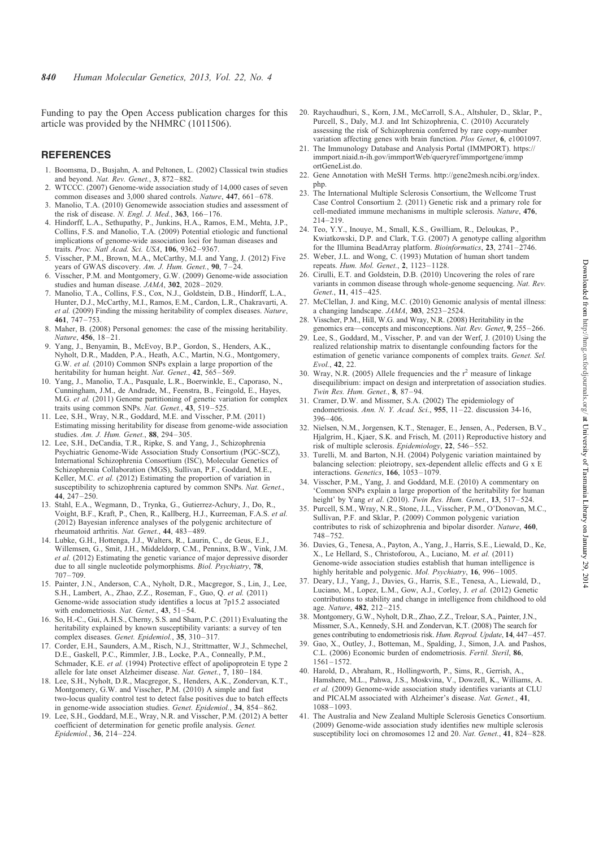Funding to pay the Open Access publication charges for this article was provided by the NHMRC (1011506).

## **REFERENCES**

- 1. Boomsma, D., Busjahn, A. and Peltonen, L. (2002) Classical twin studies and beyond. Nat. Rev. Genet., 3, 872– 882.
- 2. WTCCC. (2007) Genome-wide association study of 14,000 cases of seven common diseases and 3,000 shared controls. Nature, 447, 661–678.
- 3. Manolio, T.A. (2010) Genomewide association studies and assessment of the risk of disease.  $N$ . Engl. J. Med., 363, 166-176.
- 4. Hindorff, L.A., Sethupathy, P., Junkins, H.A., Ramos, E.M., Mehta, J.P., Collins, F.S. and Manolio, T.A. (2009) Potential etiologic and functional implications of genome-wide association loci for human diseases and traits. Proc. Natl Acad. Sci. USA, 106, 9362–9367.
- 5. Visscher, P.M., Brown, M.A., McCarthy, M.I. and Yang, J. (2012) Five years of GWAS discovery. Am. J. Hum. Genet., 90, 7-24.
- 6. Visscher, P.M. and Montgomery, G.W. (2009) Genome-wide association studies and human disease. JAMA, 302, 2028-2029.
- 7. Manolio, T.A., Collins, F.S., Cox, N.J., Goldstein, D.B., Hindorff, L.A., Hunter, D.J., McCarthy, M.I., Ramos, E.M., Cardon, L.R., Chakravarti, A. et al. (2009) Finding the missing heritability of complex diseases. Nature, 461, 747– 753.
- 8. Maher, B. (2008) Personal genomes: the case of the missing heritability. Nature, 456, 18-21.
- 9. Yang, J., Benyamin, B., McEvoy, B.P., Gordon, S., Henders, A.K., Nyholt, D.R., Madden, P.A., Heath, A.C., Martin, N.G., Montgomery, G.W. et al. (2010) Common SNPs explain a large proportion of the heritability for human height. Nat. Genet., 42, 565-569.
- 10. Yang, J., Manolio, T.A., Pasquale, L.R., Boerwinkle, E., Caporaso, N., Cunningham, J.M., de Andrade, M., Feenstra, B., Feingold, E., Hayes, M.G. et al. (2011) Genome partitioning of genetic variation for complex traits using common SNPs. Nat. Genet., 43, 519-525.
- 11. Lee, S.H., Wray, N.R., Goddard, M.E. and Visscher, P.M. (2011) Estimating missing heritability for disease from genome-wide association studies. Am. J. Hum. Genet., 88, 294-305.
- 12. Lee, S.H., DeCandia, T.R., Ripke, S. and Yang, J., Schizophrenia Psychiatric Genome-Wide Association Study Consortium (PGC-SCZ), International Schizophrenia Consortium (ISC), Molecular Genetics of Schizophrenia Collaboration (MGS), Sullivan, P.F., Goddard, M.E., Keller, M.C. et al. (2012) Estimating the proportion of variation in susceptibility to schizophrenia captured by common SNPs. Nat. Genet., 44, 247–250.
- 13. Stahl, E.A., Wegmann, D., Trynka, G., Gutierrez-Achury, J., Do, R., Voight, B.F., Kraft, P., Chen, R., Kallberg, H.J., Kurreeman, F.A.S. et al. (2012) Bayesian inference analyses of the polygenic architecture of rheumatoid arthritis. Nat. Genet., 44, 483– 489.
- 14. Lubke, G.H., Hottenga, J.J., Walters, R., Laurin, C., de Geus, E.J., Willemsen, G., Smit, J.H., Middeldorp, C.M., Penninx, B.W., Vink, J.M. et al. (2012) Estimating the genetic variance of major depressive disorder due to all single nucleotide polymorphisms. Biol. Psychiatry, 78, 707– 709.
- 15. Painter, J.N., Anderson, C.A., Nyholt, D.R., Macgregor, S., Lin, J., Lee, S.H., Lambert, A., Zhao, Z.Z., Roseman, F., Guo, Q. et al. (2011) Genome-wide association study identifies a locus at 7p15.2 associated with endometriosis. Nat. Genet., 43, 51-54.
- 16. So, H.-C., Gui, A.H.S., Cherny, S.S. and Sham, P.C. (2011) Evaluating the heritability explained by known susceptibility variants: a survey of ten complex diseases. Genet. Epidemiol., 35, 310-317.
- 17. Corder, E.H., Saunders, A.M., Risch, N.J., Strittmatter, W.J., Schmechel, D.E., Gaskell, P.C., Rimmler, J.B., Locke, P.A., Conneally, P.M., Schmader, K.E. et al. (1994) Protective effect of apolipoprotein E type 2 allele for late onset Alzheimer disease. Nat. Genet., 7, 180-184.
- 18. Lee, S.H., Nyholt, D.R., Macgregor, S., Henders, A.K., Zondervan, K.T., Montgomery, G.W. and Visscher, P.M. (2010) A simple and fast two-locus quality control test to detect false positives due to batch effects in genome-wide association studies. Genet. Epidemiol., 34, 854–862.
- 19. Lee, S.H., Goddard, M.E., Wray, N.R. and Visscher, P.M. (2012) A better coefficient of determination for genetic profile analysis. Genet. Epidemiol., 36, 214 –224.
- 20. Raychaudhuri, S., Korn, J.M., McCarroll, S.A., Altshuler, D., Sklar, P., Purcell, S., Daly, M.J. and Int Schizophrenia, C. (2010) Accurately assessing the risk of Schizophrenia conferred by rare copy-number variation affecting genes with brain function. Plos Genet, 6, e1001097.
- 21. The Immunology Database and Analysis Portal (IMMPORT). https:// immport.niaid.n-ih.gov/immportWeb/queryref/immportgene/immp ortGeneList.do.
- 22. Gene Annotation with MeSH Terms. http://gene2mesh.ncibi.org/index. php.
- 23. The International Multiple Sclerosis Consortium, the Wellcome Trust Case Control Consortium 2. (2011) Genetic risk and a primary role for cell-mediated immune mechanisms in multiple sclerosis. Nature, 476, 214–219.
- 24. Teo, Y.Y., Inouye, M., Small, K.S., Gwilliam, R., Deloukas, P., Kwiatkowski, D.P. and Clark, T.G. (2007) A genotype calling algorithm for the Illumina BeadArray platform. Bioinformatics, 23, 2741–2746.
- 25. Weber, J.L. and Wong, C. (1993) Mutation of human short tandem repeats. Hum. Mol. Genet., 2, 1123-1128.
- 26. Cirulli, E.T. and Goldstein, D.B. (2010) Uncovering the roles of rare variants in common disease through whole-genome sequencing. Nat. Rev. Genet., 11, 415–425.
- 27. McClellan, J. and King, M.C. (2010) Genomic analysis of mental illness: a changing landscape. JAMA, 303, 2523–2524.
- 28. Visscher, P.M., Hill, W.G. and Wray, N.R. (2008) Heritability in the genomics era—concepts and misconceptions. Nat. Rev. Genet, 9, 255–266.
- 29. Lee, S., Goddard, M., Visscher, P. and van der Werf, J. (2010) Using the realized relationship matrix to disentangle confounding factors for the estimation of genetic variance components of complex traits. Genet. Sel. Evol., 42, 22.
- 30. Wray, N.R. (2005) Allele frequencies and the  $r^2$  measure of linkage disequilibrium: impact on design and interpretation of association studies. Twin Res. Hum. Genet., 8, 87-94.
- 31. Cramer, D.W. and Missmer, S.A. (2002) The epidemiology of endometriosis. Ann. N. Y. Acad. Sci., 955, 11–22. discussion 34-16, 396–406.
- 32. Nielsen, N.M., Jorgensen, K.T., Stenager, E., Jensen, A., Pedersen, B.V., Hjalgrim, H., Kjaer, S.K. and Frisch, M. (2011) Reproductive history and risk of multiple sclerosis. Epidemiology, 22, 546-552.
- 33. Turelli, M. and Barton, N.H. (2004) Polygenic variation maintained by balancing selection: pleiotropy, sex-dependent allelic effects and G x E interactions. Genetics, 166, 1053–1079.
- 34. Visscher, P.M., Yang, J. and Goddard, M.E. (2010) A commentary on 'Common SNPs explain a large proportion of the heritability for human height' by Yang et al. (2010). Twin Res. Hum. Genet.,  $13$ ,  $517-524$ .
- 35. Purcell, S.M., Wray, N.R., Stone, J.L., Visscher, P.M., O'Donovan, M.C., Sullivan, P.F. and Sklar, P. (2009) Common polygenic variation contributes to risk of schizophrenia and bipolar disorder. Nature, 460, 748–752.
- 36. Davies, G., Tenesa, A., Payton, A., Yang, J., Harris, S.E., Liewald, D., Ke, X., Le Hellard, S., Christoforou, A., Luciano, M. et al. (2011) Genome-wide association studies establish that human intelligence is highly heritable and polygenic. Mol. Psychiatry, 16, 996-1005.
- 37. Deary, I.J., Yang, J., Davies, G., Harris, S.E., Tenesa, A., Liewald, D., Luciano, M., Lopez, L.M., Gow, A.J., Corley, J. et al. (2012) Genetic contributions to stability and change in intelligence from childhood to old age. Nature, 482, 212–215.
- 38. Montgomery, G.W., Nyholt, D.R., Zhao, Z.Z., Treloar, S.A., Painter, J.N., Missmer, S.A., Kennedy, S.H. and Zondervan, K.T. (2008) The search for genes contributing to endometriosis risk. Hum. Reprod. Update, 14, 447–457.
- 39. Gao, X., Outley, J., Botteman, M., Spalding, J., Simon, J.A. and Pashos, C.L. (2006) Economic burden of endometriosis. Fertil. Steril, 86, 1561– 1572.
- 40. Harold, D., Abraham, R., Hollingworth, P., Sims, R., Gerrish, A., Hamshere, M.L., Pahwa, J.S., Moskvina, V., Dowzell, K., Williams, A. et al. (2009) Genome-wide association study identifies variants at CLU and PICALM associated with Alzheimer's disease. Nat. Genet., 41, 1088– 1093.
- 41. The Australia and New Zealand Multiple Sclerosis Genetics Consortium. (2009) Genome-wide association study identifies new multiple sclerosis susceptibility loci on chromosomes 12 and 20. Nat. Genet., 41, 824–828.

<sup>=</sup> <sup>&</sup>gt; <sup>&</sup>lt; ? @ <sup>A</sup>